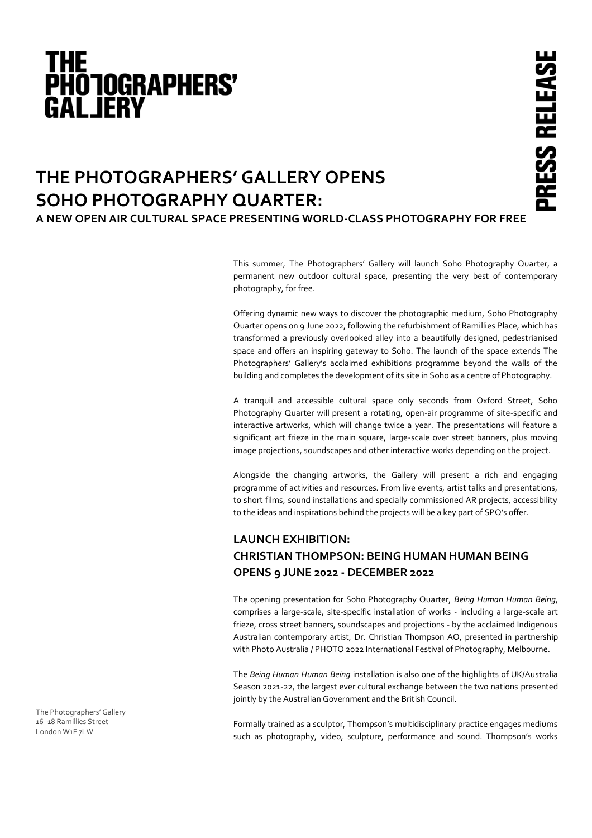# **THE<br>PHOTOGRAPHERS' GALJERY**

# PRESS RELEAS

# **THE PHOTOGRAPHERS' GALLERY OPENS SOHO PHOTOGRAPHY QUARTER: A NEW OPEN AIR CULTURAL SPACE PRESENTING WORLD-CLASS PHOTOGRAPHY FOR FREE**

This summer, The Photographers' Gallery will launch Soho Photography Quarter, a permanent new outdoor cultural space, presenting the very best of contemporary photography, for free.

Offering dynamic new ways to discover the photographic medium, Soho Photography Quarter opens on 9 June 2022, following the refurbishment of Ramillies Place, which has transformed a previously overlooked alley into a beautifully designed, pedestrianised space and offers an inspiring gateway to Soho. The launch of the space extends The Photographers' Gallery's acclaimed exhibitions programme beyond the walls of the building and completes the development of its site in Soho as a centre of Photography.

A tranquil and accessible cultural space only seconds from Oxford Street, Soho Photography Quarter will present a rotating, open-air programme of site-specific and interactive artworks, which will change twice a year. The presentations will feature a significant art frieze in the main square, large-scale over street banners, plus moving image projections, soundscapes and other interactive works depending on the project.

Alongside the changing artworks, the Gallery will present a rich and engaging programme of activities and resources. From live events, artist talks and presentations, to short films, sound installations and specially commissioned AR projects, accessibility to the ideas and inspirations behind the projects will be a key part of SPQ's offer.

## **LAUNCH EXHIBITION: CHRISTIAN THOMPSON: BEING HUMAN HUMAN BEING OPENS 9 JUNE 2022 - DECEMBER 2022**

The opening presentation for Soho Photography Quarter, *Being Human Human Being*, comprises a large-scale, site-specific installation of works - including a large-scale art frieze, cross street banners, soundscapes and projections - by the acclaimed Indigenous Australian contemporary artist, Dr. Christian Thompson AO, presented in partnership with Photo Australia / PHOTO 2022 International Festival of Photography, Melbourne.

The *Being Human Human Being* installation is also one of the highlights of UK/Australia Season 2021-22, the largest ever cultural exchange between the two nations presented jointly by the Australian Government and the British Council.

Formally trained as a sculptor, Thompson's multidisciplinary practice engages mediums such as photography, video, sculpture, performance and sound. Thompson's works

The Photographers' Gallery 16–18 Ramillies Street London W1F 7LW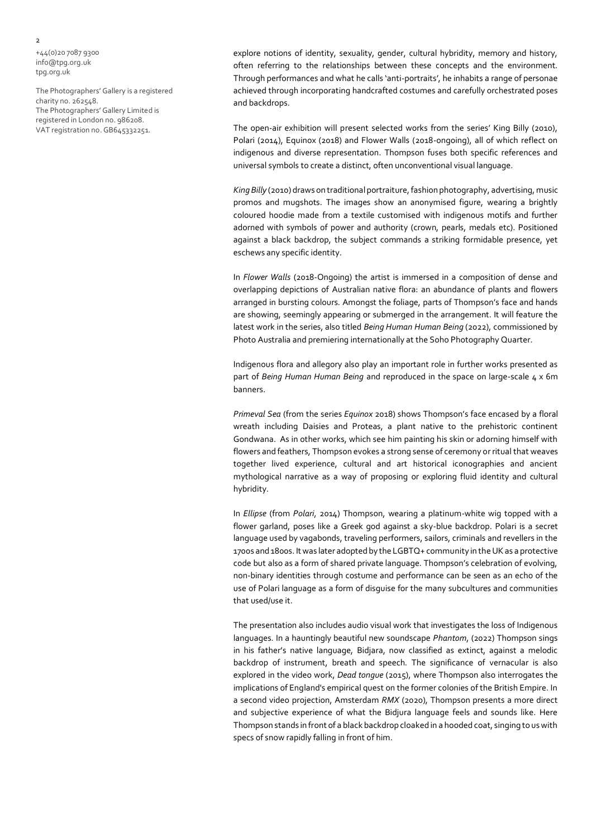+44(0)20 7087 9300 info@tpg.org.uk tpg.org.uk

The Photographers' Gallery is a registered charity no. 262548. The Photographers' Gallery Limited is registered in London no. 986208. VAT registration no. GB645332251.

explore notions of identity, sexuality, gender, cultural hybridity, memory and history, often referring to the relationships between these concepts and the environment. Through performances and what he calls 'anti-portraits', he inhabits a range of personae achieved through incorporating handcrafted costumes and carefully orchestrated poses and backdrops.

The open-air exhibition will present selected works from the series' King Billy (2010), Polari (2014), Equinox (2018) and Flower Walls (2018-ongoing), all of which reflect on indigenous and diverse representation. Thompson fuses both specific references and universal symbols to create a distinct, often unconventional visual language.

*King Billy* (2010) draws on traditional portraiture, fashion photography, advertising, music promos and mugshots. The images show an anonymised figure, wearing a brightly coloured hoodie made from a textile customised with indigenous motifs and further adorned with symbols of power and authority (crown, pearls, medals etc). Positioned against a black backdrop, the subject commands a striking formidable presence, yet eschews any specific identity.

In *Flower Walls* (2018-Ongoing) the artist is immersed in a composition of dense and overlapping depictions of Australian native flora: an abundance of plants and flowers arranged in bursting colours. Amongst the foliage, parts of Thompson's face and hands are showing, seemingly appearing or submerged in the arrangement. It will feature the latest work in the series, also titled *Being Human Human Being* (2022), commissioned by Photo Australia and premiering internationally at the Soho Photography Quarter.

Indigenous flora and allegory also play an important role in further works presented as part of *Being Human Human Being* and reproduced in the space on large-scale 4 x 6m banners.

*Primeval Sea* (from the series *Equinox* 2018) shows Thompson's face encased by a floral wreath including Daisies and Proteas, a plant native to the prehistoric continent Gondwana. As in other works, which see him painting his skin or adorning himself with flowers and feathers, Thompson evokes a strong sense of ceremony or ritual that weaves together lived experience, cultural and art historical iconographies and ancient mythological narrative as a way of proposing or exploring fluid identity and cultural hybridity.

In *Ellipse* (from *Polari*, 2014) Thompson, wearing a platinum-white wig topped with a flower garland, poses like a Greek god against a sky-blue backdrop. Polari is a secret language used by vagabonds, traveling performers, sailors, criminals and revellers in the 1700s and 1800s. It was later adopted by the LGBTQ+ community in the UK as a protective code but also as a form of shared private language. Thompson's celebration of evolving, non-binary identities through costume and performance can be seen as an echo of the use of Polari language as a form of disguise for the many subcultures and communities that used/use it.

The presentation also includes audio visual work that investigates the loss of Indigenous languages. In a hauntingly beautiful new soundscape *Phantom*, (2022) Thompson sings in his father's native language, Bidjara, now classified as extinct, against a melodic backdrop of instrument, breath and speech. The significance of vernacular is also explored in the video work, *Dead tongue* (2015), where Thompson also interrogates the implications of England's empirical quest on the former colonies of the British Empire. In a second video projection, Amsterdam *RMX* (2020), Thompson presents a more direct and subjective experience of what the Bidjura language feels and sounds like. Here Thompson stands in front of a black backdrop cloaked in a hooded coat, singing to us with specs of snow rapidly falling in front of him.

 $\overline{2}$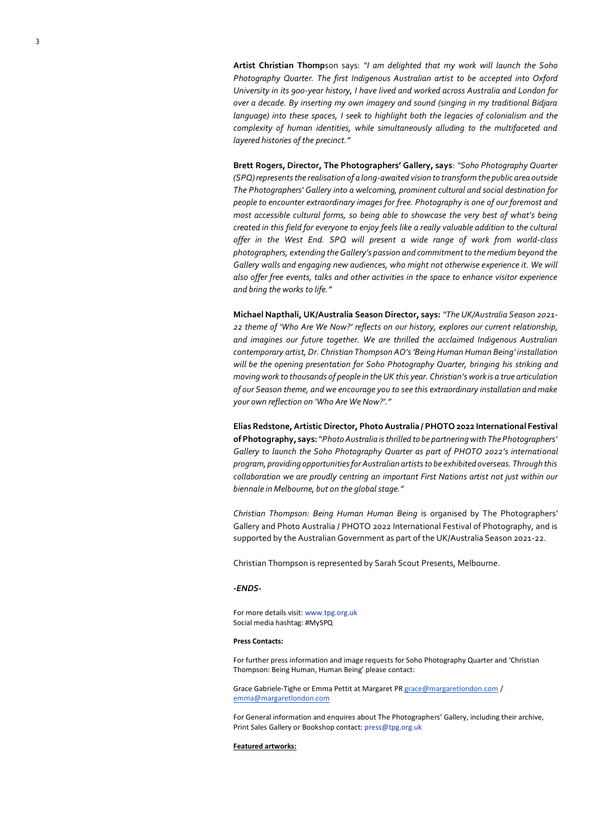**Artist Christian Thomp**son says: *"I am delighted that my work will launch the Soho Photography Quarter. The first Indigenous Australian artist to be accepted into Oxford University in its 900-year history, I have lived and worked across Australia and London for over a decade. By inserting my own imagery and sound (singing in my traditional Bidjara language) into these spaces, I seek to highlight both the legacies of colonialism and the complexity of human identities, while simultaneously alluding to the multifaceted and layered histories of the precinct."*

**Brett Rogers, Director, The Photographers' Gallery, says**: *"Soho Photography Quarter (SPQ) represents the realisation of a long-awaited vision to transform the public area outside The Photographers' Gallery into a welcoming, prominent cultural and social destination for people to encounter extraordinary images for free. Photography is one of our foremost and most accessible cultural forms, so being able to showcase the very best of what's being created in this field for everyone to enjoy feels like a really valuable addition to the cultural offer in the West End. SPQ will present a wide range of work from world-class photographers, extending the Gallery's passion and commitment to the medium beyond the Gallery walls and engaging new audiences, who might not otherwise experience it. We will also offer free events, talks and other activities in the space to enhance visitor experience and bring the works to life."*

**Michael Napthali, UK/Australia Season Director, says:** *"The UK/Australia Season 2021- 22 theme of 'Who Are We Now?' reflects on our history, explores our current relationship, and imagines our future together. We are thrilled the acclaimed Indigenous Australian contemporary artist, Dr. Christian Thompson AO's 'Being Human Human Being' installation will be the opening presentation for Soho Photography Quarter, bringing his striking and moving work to thousands of people in the UK this year. Christian's work is a true articulation of our Season theme, and we encourage you to see this extraordinary installation and make your own reflection on 'Who Are We Now?'."*

**Elias Redstone, Artistic Director, Photo Australia / PHOTO 2022 International Festival of Photography, says:** "*Photo Australia is thrilled to be partnering with The Photographers' Gallery to launch the Soho Photography Quarter as part of PHOTO 2022's international program, providing opportunities for Australian artists to be exhibited overseas. Through this collaboration we are proudly centring an important First Nations artist not just within our biennale in Melbourne, but on the global stage."*

*Christian Thompson: Being Human Human Being* is organised by The Photographers' Gallery and Photo Australia / PHOTO 2022 International Festival of Photography, and is supported by the Australian Government as part of the UK/Australia Season 2021-22.

Christian Thompson is represented by Sarah Scout Presents, Melbourne.

### *-ENDS-*

For more details visit: www.tpg.org.uk Social media hashtag: #MySPQ

### **Press Contacts:**

For further press information and image requests for Soho Photography Quarter and 'Christian Thompson: Being Human, Human Being' please contact:

Grace Gabriele-Tighe or Emma Pettit at Margaret P[R grace@margaretlondon.com](mailto:grace@margaretlondon.com) / [emma@margaretlondon.com](mailto:emma@margaretlondon.com)

For General information and enquires about The Photographers' Gallery, including their archive, Print Sales Gallery or Bookshop contact: press@tpg.org.uk

### **Featured artworks:**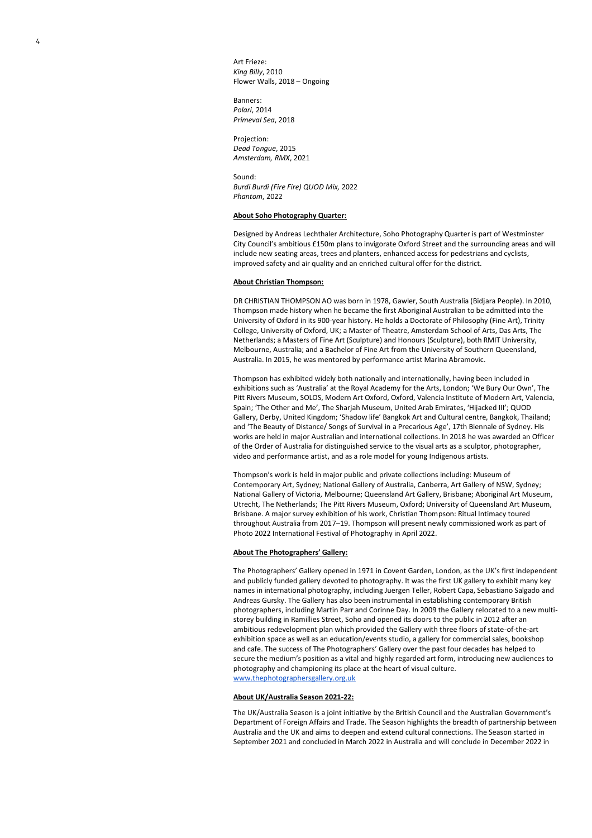Art Frieze: *King Billy*, 2010 Flower Walls, 2018 – Ongoing

Banners: *Polari*, 2014 *Primeval Sea*, 2018

Projection: *Dead Tongue*, 2015 *Amsterdam, RMX*, 2021

Sound: *Burdi Burdi (Fire Fire) QUOD Mix,* 2022 *Phantom*, 2022

### **About Soho Photography Quarter:**

Designed by Andreas Lechthaler Architecture, Soho Photography Quarter is part of Westminster City Council's ambitious £150m plans to invigorate Oxford Street and the surrounding areas and will include new seating areas, trees and planters, enhanced access for pedestrians and cyclists, improved safety and air quality and an enriched cultural offer for the district.

### **About Christian Thompson:**

DR CHRISTIAN THOMPSON AO was born in 1978, Gawler, South Australia (Bidjara People). In 2010, Thompson made history when he became the first Aboriginal Australian to be admitted into the University of Oxford in its 900-year history. He holds a Doctorate of Philosophy (Fine Art), Trinity College, University of Oxford, UK; a Master of Theatre, Amsterdam School of Arts, Das Arts, The Netherlands; a Masters of Fine Art (Sculpture) and Honours (Sculpture), both RMIT University, Melbourne, Australia; and a Bachelor of Fine Art from the University of Southern Queensland, Australia. In 2015, he was mentored by performance artist Marina Abramovic.

Thompson has exhibited widely both nationally and internationally, having been included in exhibitions such as 'Australia' at the Royal Academy for the Arts, London; 'We Bury Our Own', The Pitt Rivers Museum, SOLOS, Modern Art Oxford, Oxford, Valencia Institute of Modern Art, Valencia, Spain; 'The Other and Me', The Sharjah Museum, United Arab Emirates, 'Hijacked III'; QUOD Gallery, Derby, United Kingdom; 'Shadow life' Bangkok Art and Cultural centre, Bangkok, Thailand; and 'The Beauty of Distance/ Songs of Survival in a Precarious Age', 17th Biennale of Sydney. His works are held in major Australian and international collections. In 2018 he was awarded an Officer of the Order of Australia for distinguished service to the visual arts as a sculptor, photographer, video and performance artist, and as a role model for young Indigenous artists.

Thompson's work is held in major public and private collections including: Museum of Contemporary Art, Sydney; National Gallery of Australia, Canberra, Art Gallery of NSW, Sydney; National Gallery of Victoria, Melbourne; Queensland Art Gallery, Brisbane; Aboriginal Art Museum, Utrecht, The Netherlands; The Pitt Rivers Museum, Oxford; University of Queensland Art Museum, Brisbane. A major survey exhibition of his work, Christian Thompson: Ritual Intimacy toured throughout Australia from 2017–19. Thompson will present newly commissioned work as part of Photo 2022 International Festival of Photography in April 2022.

### **About The Photographers' Gallery:**

The Photographers' Gallery opened in 1971 in Covent Garden, London, as the UK's first independent and publicly funded gallery devoted to photography. It was the first UK gallery to exhibit many key names in international photography, including Juergen Teller, Robert Capa, Sebastiano Salgado and Andreas Gursky. The Gallery has also been instrumental in establishing contemporary British photographers, including Martin Parr and Corinne Day. In 2009 the Gallery relocated to a new multistorey building in Ramillies Street, Soho and opened its doors to the public in 2012 after an ambitious redevelopment plan which provided the Gallery with three floors of state-of-the-art exhibition space as well as an education/events studio, a gallery for commercial sales, bookshop and cafe. The success of The Photographers' Gallery over the past four decades has helped to secure the medium's position as a vital and highly regarded art form, introducing new audiences to photography and championing its place at the heart of visual culture. [www.thephotographersgallery.org.uk](http://www.thephotographersgallery.org.uk/) 

### **About UK/Australia Season 2021-22:**

The UK/Australia Season is a joint initiative by the British Council and the Australian Government's Department of Foreign Affairs and Trade. The Season highlights the breadth of partnership between Australia and the UK and aims to deepen and extend cultural connections. The Season started in September 2021 and concluded in March 2022 in Australia and will conclude in December 2022 in